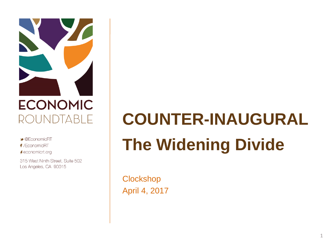

 $\triangle$  @ Fconomic RT f /EconomicRT A economicrt.org

315 West Ninth Street, Suite 502 Los Angeles, CA 90015

# **COUNTER-INAUGURAL The Widening Divide**

**Clockshop** April 4, 2017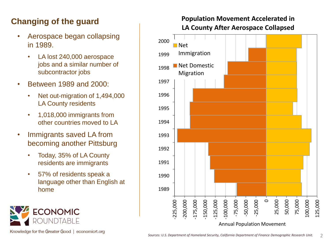## **Changing of the guard**

- Aerospace began collapsing in 1989.
	- LA lost 240,000 aerospace jobs and a similar number of subcontractor jobs
- Between 1989 and 2000:
	- Net out-migration of 1,494,000 LA County residents
	- 1,018,000 immigrants from other countries moved to LA
- Immigrants saved LA from becoming another Pittsburg
	- Today, 35% of LA County residents are immigrants
	- 57% of residents speak a language other than English at home



Knowledge for the Greater Good | economicrt.org

#### **Population Movement Accelerated in LA County After Aerospace Collapsed**

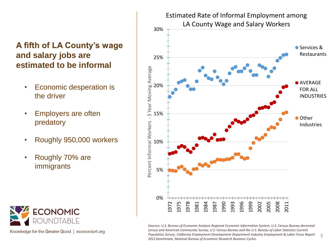#### **A fifth of LA County's wage and salary jobs are estimated to be informal**

- Economic desperation is the driver
- Employers are often predatory
- Roughly 950,000 workers
- Roughly 70% are immigrants



Knowledge for the Greater Good | economicrt.org



*Sources: U.S. Bureau of Economic Analysis Regional Economic Information System, U.S. Census Bureau decennial census and American Community Survey, U.S. Census Bureau and the U.S. Bureau of Labor Statistics Current Population Survey, California Employment Development Department Industry Employment & Labor Force Report 2012 benchmark, National Bureau of Economic Research Business Cycles.*  3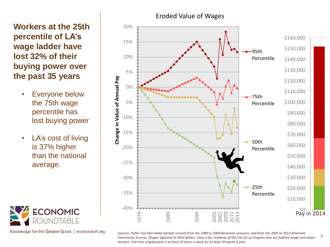**Workers at the 25th percentile of LA's wage ladder have lost 32% of their buying power over the past 35 years**

- Everyone below the 75th wage percentile has lost buying power
- LA's cost of living is 37% higher than the national average.



Knowledge for the Greater Good | economicrt.org



*Sources: Public Use Microdata Sample records from the 1980 to 2000 decennial censuses, and from the 2005 to 2013 American Community Surveys. Wages adjusted to 2014 dollars. Data is for residents of the City of Los Angeles who are fulltime wage and salary workers. Full-time employment is at least 35 hours a week for at least 50 weeks a year.* 

4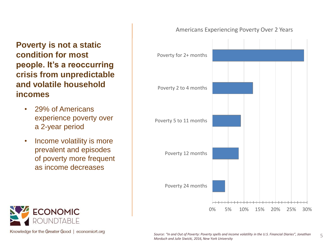**Poverty is not a static condition for most people. It's a reoccurring crisis from unpredictable and volatile household incomes**

- 29% of Americans experience poverty over a 2-year period
- Income volatility is more prevalent and episodes of poverty more frequent as income decreases



Knowledge for the Greater Good | economicrt.org



#### Americans Experiencing Poverty Over 2 Years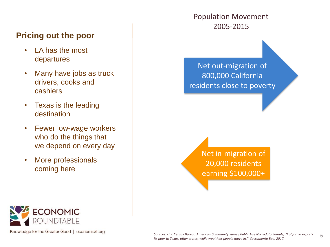## **Pricing out the poor**

- LA has the most departures
- Many have jobs as truck drivers, cooks and cashiers
- Texas is the leading destination
- Fewer low-wage workers who do the things that we depend on every day
- More professionals coming here

Population Movement 2005-2015

Net out-migration of 800,000 California residents close to poverty

> Net in-migration of 20,000 residents earning \$100,000+



Knowledge for the Greater Good | economicrt.org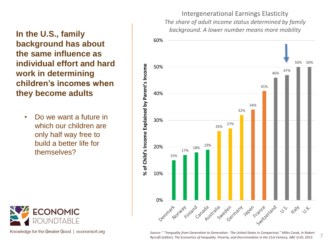Intergenerational Earnings Elasticity *The share of adult income status determined by family background. A lower number means more mobility*



## **In the U.S., family background has about the same influence as individual effort and hard work in determining children's incomes when they become adults**

• Do we want a future in which our children are only half way free to build a better life for themselves?



Knowledge for the Greater Good | economicrt.org

*Source: " "Inequality from Generation to Generation: The United States in Comparison," Miles Corak, in Robert Rycroft (editor), The Economics of Inequality, Poverty, and Discrimination in the 21st Century, ABC-CLIO, 2013.* 7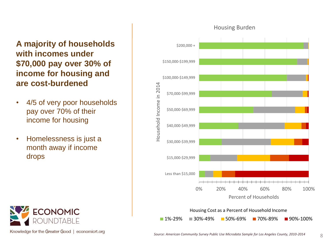**A majority of households with incomes under \$70,000 pay over 30% of income for housing and are cost-burdened** 

- 4/5 of very poor households pay over 70% of their income for housing
- Homelessness is just a month away if income drops



Knowledge for the Greater Good | economicrt.org



#### Housing Burden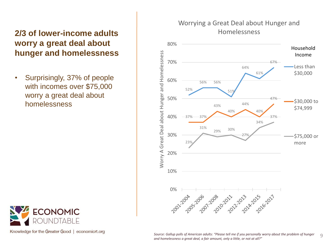## **2/3 of lower-income adults worry a great deal about hunger and homelessness**

• Surprisingly, 37% of people with incomes over \$75,000 worry a great deal about homelessness



Knowledge for the Greater Good | economicrt.org



#### Worrying a Great Deal about Hunger and Homelessness

Source: Gallup polls of American adults: "Please tell me if you personally worry about the problem of hunger  $\hskip 10.5mm$  G<br>and homelessness a great deal, a fair amount, only a little, or not at all?"